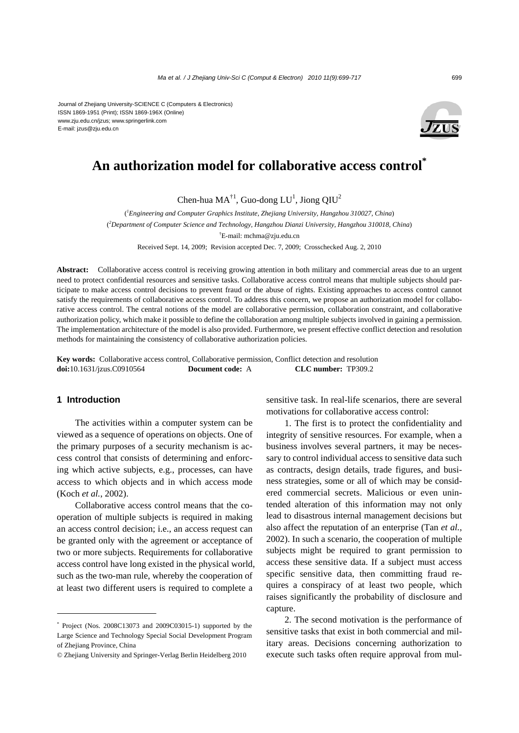Journal of Zhejiang University-SCIENCE C (Computers & Electronics) ISSN 1869-1951 (Print); ISSN 1869-196X (Online) www.zju.edu.cn/jzus; www.springerlink.com E-mail: jzus@zju.edu.cn



## **An authorization model for collaborative access control\***

Chen-hua MA<sup>†1</sup>, Guo-dong LU<sup>1</sup>, Jiong QIU<sup>2</sup>

( *1 Engineering and Computer Graphics Institute, Zhejiang University, Hangzhou 310027, China*) ( *2 Department of Computer Science and Technology, Hangzhou Dianzi University, Hangzhou 310018, China*) † E-mail: mchma@zju.edu.cn

Received Sept. 14, 2009; Revision accepted Dec. 7, 2009; Crosschecked Aug. 2, 2010

**Abstract:** Collaborative access control is receiving growing attention in both military and commercial areas due to an urgent need to protect confidential resources and sensitive tasks. Collaborative access control means that multiple subjects should participate to make access control decisions to prevent fraud or the abuse of rights. Existing approaches to access control cannot satisfy the requirements of collaborative access control. To address this concern, we propose an authorization model for collaborative access control. The central notions of the model are collaborative permission, collaboration constraint, and collaborative authorization policy, which make it possible to define the collaboration among multiple subjects involved in gaining a permission. The implementation architecture of the model is also provided. Furthermore, we present effective conflict detection and resolution methods for maintaining the consistency of collaborative authorization policies.

**Key words:** Collaborative access control, Collaborative permission, Conflict detection and resolution **doi:**10.1631/jzus.C0910564 **Document code:** A **CLC number:** TP309.2

## **1 Introduction**

The activities within a computer system can be viewed as a sequence of operations on objects. One of the primary purposes of a security mechanism is access control that consists of determining and enforcing which active subjects, e.g., processes, can have access to which objects and in which access mode (Koch *et al.*, 2002).

Collaborative access control means that the cooperation of multiple subjects is required in making an access control decision; i.e., an access request can be granted only with the agreement or acceptance of two or more subjects. Requirements for collaborative access control have long existed in the physical world, such as the two-man rule, whereby the cooperation of at least two different users is required to complete a

sensitive task. In real-life scenarios, there are several motivations for collaborative access control:

1. The first is to protect the confidentiality and integrity of sensitive resources. For example, when a business involves several partners, it may be necessary to control individual access to sensitive data such as contracts, design details, trade figures, and business strategies, some or all of which may be considered commercial secrets. Malicious or even unintended alteration of this information may not only lead to disastrous internal management decisions but also affect the reputation of an enterprise (Tan *et al.*, 2002). In such a scenario, the cooperation of multiple subjects might be required to grant permission to access these sensitive data. If a subject must access specific sensitive data, then committing fraud requires a conspiracy of at least two people, which raises significantly the probability of disclosure and capture.

2. The second motivation is the performance of sensitive tasks that exist in both commercial and military areas. Decisions concerning authorization to execute such tasks often require approval from mul-

<sup>\*</sup> Project (Nos. 2008C13073 and 2009C03015-1) supported by the Large Science and Technology Special Social Development Program of Zhejiang Province, China

<sup>©</sup> Zhejiang University and Springer-Verlag Berlin Heidelberg 2010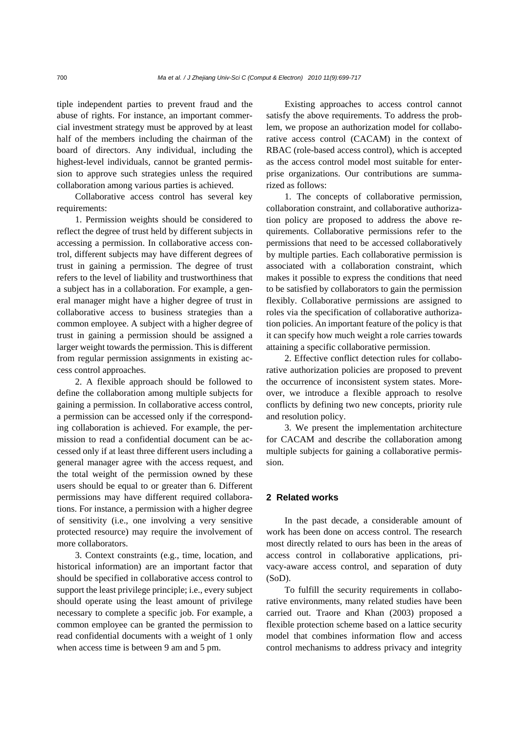tiple independent parties to prevent fraud and the abuse of rights. For instance, an important commercial investment strategy must be approved by at least half of the members including the chairman of the board of directors. Any individual, including the highest-level individuals, cannot be granted permission to approve such strategies unless the required collaboration among various parties is achieved.

Collaborative access control has several key requirements:

1. Permission weights should be considered to reflect the degree of trust held by different subjects in accessing a permission. In collaborative access control, different subjects may have different degrees of trust in gaining a permission. The degree of trust refers to the level of liability and trustworthiness that a subject has in a collaboration. For example, a general manager might have a higher degree of trust in collaborative access to business strategies than a common employee. A subject with a higher degree of trust in gaining a permission should be assigned a larger weight towards the permission. This is different from regular permission assignments in existing access control approaches.

2. A flexible approach should be followed to define the collaboration among multiple subjects for gaining a permission. In collaborative access control, a permission can be accessed only if the corresponding collaboration is achieved. For example, the permission to read a confidential document can be accessed only if at least three different users including a general manager agree with the access request, and the total weight of the permission owned by these users should be equal to or greater than 6. Different permissions may have different required collaborations. For instance, a permission with a higher degree of sensitivity (i.e., one involving a very sensitive protected resource) may require the involvement of more collaborators.

3. Context constraints (e.g., time, location, and historical information) are an important factor that should be specified in collaborative access control to support the least privilege principle; i.e., every subject should operate using the least amount of privilege necessary to complete a specific job. For example, a common employee can be granted the permission to read confidential documents with a weight of 1 only when access time is between 9 am and 5 pm.

Existing approaches to access control cannot satisfy the above requirements. To address the problem, we propose an authorization model for collaborative access control (CACAM) in the context of RBAC (role-based access control), which is accepted as the access control model most suitable for enterprise organizations. Our contributions are summarized as follows:

1. The concepts of collaborative permission, collaboration constraint, and collaborative authorization policy are proposed to address the above requirements. Collaborative permissions refer to the permissions that need to be accessed collaboratively by multiple parties. Each collaborative permission is associated with a collaboration constraint, which makes it possible to express the conditions that need to be satisfied by collaborators to gain the permission flexibly. Collaborative permissions are assigned to roles via the specification of collaborative authorization policies. An important feature of the policy is that it can specify how much weight a role carries towards attaining a specific collaborative permission.

2. Effective conflict detection rules for collaborative authorization policies are proposed to prevent the occurrence of inconsistent system states. Moreover, we introduce a flexible approach to resolve conflicts by defining two new concepts, priority rule and resolution policy.

3. We present the implementation architecture for CACAM and describe the collaboration among multiple subjects for gaining a collaborative permission.

#### **2 Related works**

In the past decade, a considerable amount of work has been done on access control. The research most directly related to ours has been in the areas of access control in collaborative applications, privacy-aware access control, and separation of duty (SoD).

To fulfill the security requirements in collaborative environments, many related studies have been carried out. Traore and Khan (2003) proposed a flexible protection scheme based on a lattice security model that combines information flow and access control mechanisms to address privacy and integrity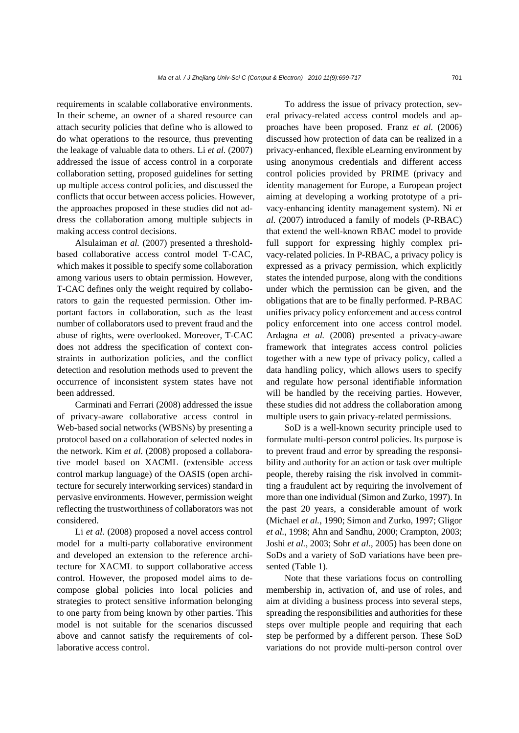requirements in scalable collaborative environments. In their scheme, an owner of a shared resource can attach security policies that define who is allowed to do what operations to the resource, thus preventing the leakage of valuable data to others. Li *et al.* (2007) addressed the issue of access control in a corporate collaboration setting, proposed guidelines for setting up multiple access control policies, and discussed the conflicts that occur between access policies. However, the approaches proposed in these studies did not address the collaboration among multiple subjects in making access control decisions.

Alsulaiman *et al.* (2007) presented a thresholdbased collaborative access control model T-CAC, which makes it possible to specify some collaboration among various users to obtain permission. However, T-CAC defines only the weight required by collaborators to gain the requested permission. Other important factors in collaboration, such as the least number of collaborators used to prevent fraud and the abuse of rights, were overlooked. Moreover, T-CAC does not address the specification of context constraints in authorization policies, and the conflict detection and resolution methods used to prevent the occurrence of inconsistent system states have not been addressed.

Carminati and Ferrari (2008) addressed the issue of privacy-aware collaborative access control in Web-based social networks (WBSNs) by presenting a protocol based on a collaboration of selected nodes in the network. Kim *et al.* (2008) proposed a collaborative model based on XACML (extensible access control markup language) of the OASIS (open architecture for securely interworking services) standard in pervasive environments. However, permission weight reflecting the trustworthiness of collaborators was not considered.

Li *et al.* (2008) proposed a novel access control model for a multi-party collaborative environment and developed an extension to the reference architecture for XACML to support collaborative access control. However, the proposed model aims to decompose global policies into local policies and strategies to protect sensitive information belonging to one party from being known by other parties. This model is not suitable for the scenarios discussed above and cannot satisfy the requirements of collaborative access control.

To address the issue of privacy protection, several privacy-related access control models and approaches have been proposed. Franz *et al.* (2006) discussed how protection of data can be realized in a privacy-enhanced, flexible eLearning environment by using anonymous credentials and different access control policies provided by PRIME (privacy and identity management for Europe, a European project aiming at developing a working prototype of a privacy-enhancing identity management system). Ni *et al.* (2007) introduced a family of models (P-RBAC) that extend the well-known RBAC model to provide full support for expressing highly complex privacy-related policies. In P-RBAC, a privacy policy is expressed as a privacy permission, which explicitly states the intended purpose, along with the conditions under which the permission can be given, and the obligations that are to be finally performed. P-RBAC unifies privacy policy enforcement and access control policy enforcement into one access control model. Ardagna *et al.* (2008) presented a privacy-aware framework that integrates access control policies together with a new type of privacy policy, called a data handling policy, which allows users to specify and regulate how personal identifiable information will be handled by the receiving parties. However, these studies did not address the collaboration among multiple users to gain privacy-related permissions.

SoD is a well-known security principle used to formulate multi-person control policies. Its purpose is to prevent fraud and error by spreading the responsibility and authority for an action or task over multiple people, thereby raising the risk involved in committing a fraudulent act by requiring the involvement of more than one individual (Simon and Zurko, 1997). In the past 20 years, a considerable amount of work (Michael *et al.*, 1990; Simon and Zurko, 1997; Gligor *et al.*, 1998; Ahn and Sandhu, 2000; Crampton, 2003; Joshi *et al.*, 2003; Sohr *et al.*, 2005) has been done on SoDs and a variety of SoD variations have been presented (Table 1).

Note that these variations focus on controlling membership in, activation of, and use of roles, and aim at dividing a business process into several steps, spreading the responsibilities and authorities for these steps over multiple people and requiring that each step be performed by a different person. These SoD variations do not provide multi-person control over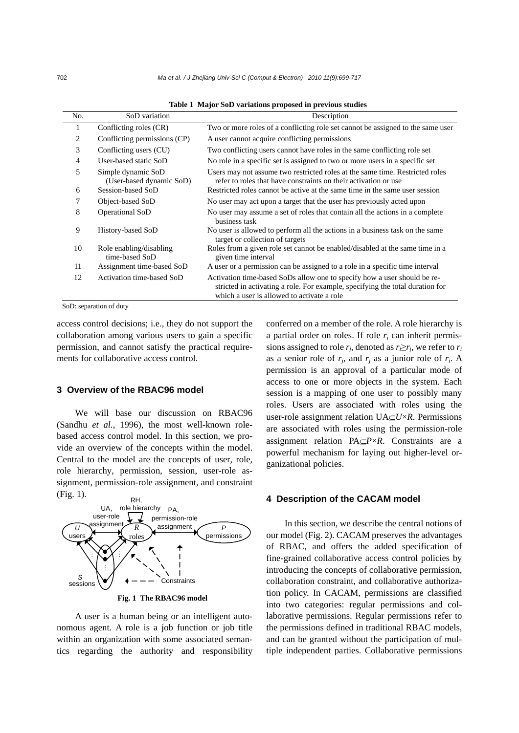| No.            | SoD variation                                  | Description                                                                                                                                                                                             |
|----------------|------------------------------------------------|---------------------------------------------------------------------------------------------------------------------------------------------------------------------------------------------------------|
|                | Conflicting roles (CR)                         | Two or more roles of a conflicting role set cannot be assigned to the same user                                                                                                                         |
| 2              | Conflicting permissions (CP)                   | A user cannot acquire conflicting permissions                                                                                                                                                           |
| 3              | Conflicting users (CU)                         | Two conflicting users cannot have roles in the same conflicting role set                                                                                                                                |
| $\overline{4}$ | User-based static SoD                          | No role in a specific set is assigned to two or more users in a specific set                                                                                                                            |
| 5              | Simple dynamic SoD<br>(User-based dynamic SoD) | Users may not assume two restricted roles at the same time. Restricted roles<br>refer to roles that have constraints on their activation or use                                                         |
| 6              | Session-based SoD                              | Restricted roles cannot be active at the same time in the same user session                                                                                                                             |
| 7              | Object-based SoD                               | No user may act upon a target that the user has previously acted upon                                                                                                                                   |
| 8              | Operational SoD                                | No user may assume a set of roles that contain all the actions in a complete<br>business task                                                                                                           |
| 9              | History-based SoD                              | No user is allowed to perform all the actions in a business task on the same<br>target or collection of targets                                                                                         |
| 10             | Role enabling/disabling<br>time-based SoD      | Roles from a given role set cannot be enabled/disabled at the same time in a<br>given time interval                                                                                                     |
| 11             | Assignment time-based SoD                      | A user or a permission can be assigned to a role in a specific time interval                                                                                                                            |
| 12             | Activation time-based SoD                      | Activation time-based SoDs allow one to specify how a user should be re-<br>stricted in activating a role. For example, specifying the total duration for<br>which a user is allowed to activate a role |

**Table 1 Major SoD variations proposed in previous studies**

SoD: separation of duty

access control decisions; i.e., they do not support the collaboration among various users to gain a specific permission, and cannot satisfy the practical requirements for collaborative access control.

## **3 Overview of the RBAC96 model**

We will base our discussion on RBAC96 (Sandhu *et al.*, 1996), the most well-known rolebased access control model. In this section, we provide an overview of the concepts within the model. Central to the model are the concepts of user, role, role hierarchy, permission, session, user-role assignment, permission-role assignment, and constraint (Fig. 1).



**Fig. 1 The RBAC96 model**

A user is a human being or an intelligent autonomous agent. A role is a job function or job title within an organization with some associated semantics regarding the authority and responsibility conferred on a member of the role. A role hierarchy is a partial order on roles. If role  $r_i$  can inherit permissions assigned to role  $r_i$ , denoted as  $r_i \geq r_i$ , we refer to  $r_i$ as a senior role of  $r_i$ , and  $r_i$  as a junior role of  $r_i$ . A permission is an approval of a particular mode of access to one or more objects in the system. Each session is a mapping of one user to possibly many roles. Users are associated with roles using the user-role assignment relation UA⊆*U*×*R*. Permissions are associated with roles using the permission-role assignment relation PA⊆*P*×*R*. Constraints are a powerful mechanism for laying out higher-level organizational policies.

## **4 Description of the CACAM model**

In this section, we describe the central notions of our model (Fig. 2). CACAM preserves the advantages of RBAC, and offers the added specification of fine-grained collaborative access control policies by introducing the concepts of collaborative permission, collaboration constraint, and collaborative authorization policy. In CACAM, permissions are classified into two categories: regular permissions and collaborative permissions. Regular permissions refer to the permissions defined in traditional RBAC models, and can be granted without the participation of multiple independent parties. Collaborative permissions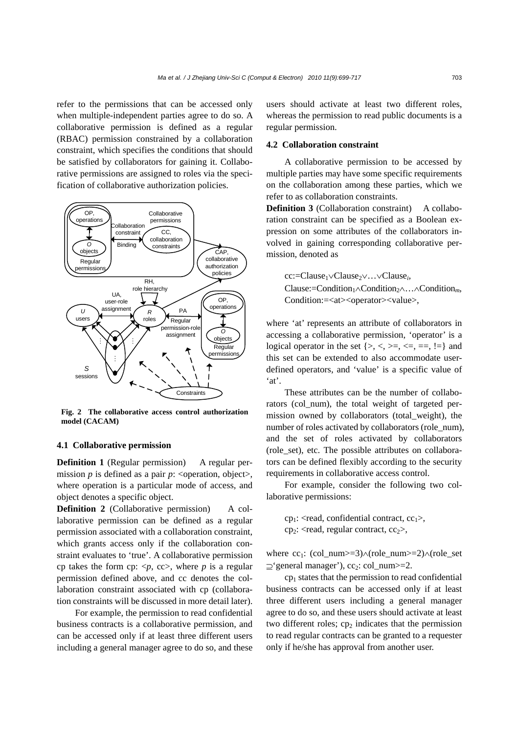refer to the permissions that can be accessed only when multiple-independent parties agree to do so. A collaborative permission is defined as a regular (RBAC) permission constrained by a collaboration constraint, which specifies the conditions that should be satisfied by collaborators for gaining it. Collaborative permissions are assigned to roles via the specification of collaborative authorization policies.



**Fig. 2 The collaborative access control authorization model (CACAM)**

## **4.1 Collaborative permission**

**Definition 1** (Regular permission)A regular permission *p* is defined as a pair *p*:  $\langle$ operation, object $\rangle$ , where operation is a particular mode of access, and object denotes a specific object.

**Definition 2** (Collaborative permission) A collaborative permission can be defined as a regular permission associated with a collaboration constraint, which grants access only if the collaboration constraint evaluates to 'true'. A collaborative permission cp takes the form cp:  $\langle p, cc \rangle$ , where p is a regular permission defined above, and cc denotes the collaboration constraint associated with cp (collaboration constraints will be discussed in more detail later).

For example, the permission to read confidential business contracts is a collaborative permission, and can be accessed only if at least three different users including a general manager agree to do so, and these users should activate at least two different roles, whereas the permission to read public documents is a regular permission.

#### **4.2 Collaboration constraint**

A collaborative permission to be accessed by multiple parties may have some specific requirements on the collaboration among these parties, which we refer to as collaboration constraints.

**Definition 3** (Collaboration constraint) A collaboration constraint can be specified as a Boolean expression on some attributes of the collaborators involved in gaining corresponding collaborative permission, denoted as

cc:=Clause1∨Clause2∨…∨Clause*i*, Clause:=Condition1∧Condition2∧…∧Condition*m*, Condition:=<at><operator><value>,

where 'at' represents an attribute of collaborators in accessing a collaborative permission, 'operator' is a logical operator in the set  $\{>, <, >=, <, ==, !=\}$  and this set can be extended to also accommodate userdefined operators, and 'value' is a specific value of 'at'.

These attributes can be the number of collaborators (col\_num), the total weight of targeted permission owned by collaborators (total\_weight), the number of roles activated by collaborators (role\_num), and the set of roles activated by collaborators (role\_set), etc. The possible attributes on collaborators can be defined flexibly according to the security requirements in collaborative access control.

For example, consider the following two collaborative permissions:

 $cp_1$ : <read, confidential contract,  $cc_1$ >, cp<sub>2</sub>: <read, regular contract,  $cc_2$ >,

where cc<sub>1</sub>: (col\_num>=3) $\land$ (role\_num>=2) $\land$ (role\_set  $\supset$ 'general manager'), cc<sub>2</sub>: col num $>=$ 2.

 $cp<sub>1</sub>$  states that the permission to read confidential business contracts can be accessed only if at least three different users including a general manager agree to do so, and these users should activate at least two different roles;  $cp<sub>2</sub>$  indicates that the permission to read regular contracts can be granted to a requester only if he/she has approval from another user.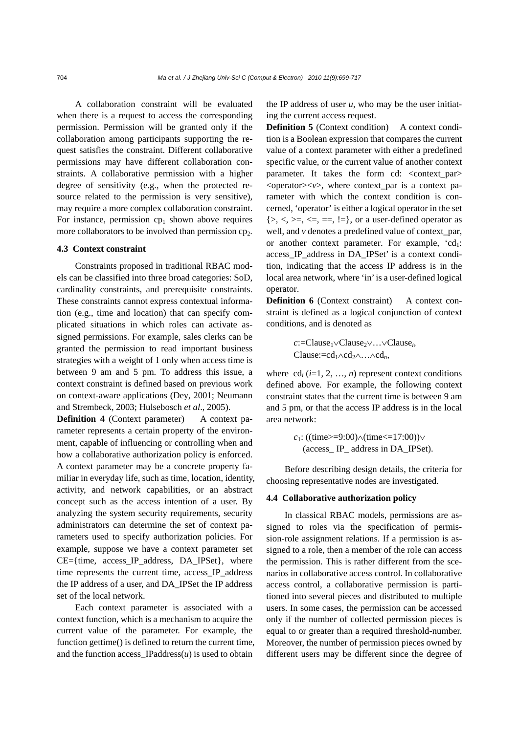A collaboration constraint will be evaluated when there is a request to access the corresponding permission. Permission will be granted only if the collaboration among participants supporting the request satisfies the constraint. Different collaborative permissions may have different collaboration constraints. A collaborative permission with a higher degree of sensitivity (e.g., when the protected resource related to the permission is very sensitive), may require a more complex collaboration constraint. For instance, permission  $cp<sub>1</sub>$  shown above requires more collaborators to be involved than permission  $cp<sub>2</sub>$ .

#### **4.3 Context constraint**

Constraints proposed in traditional RBAC models can be classified into three broad categories: SoD, cardinality constraints, and prerequisite constraints. These constraints cannot express contextual information (e.g., time and location) that can specify complicated situations in which roles can activate assigned permissions. For example, sales clerks can be granted the permission to read important business strategies with a weight of 1 only when access time is between 9 am and 5 pm. To address this issue, a context constraint is defined based on previous work on context-aware applications (Dey, 2001; Neumann and Strembeck, 2003; Hulsebosch *et al*., 2005).

**Definition 4** (Context parameter) A context parameter represents a certain property of the environment, capable of influencing or controlling when and how a collaborative authorization policy is enforced. A context parameter may be a concrete property familiar in everyday life, such as time, location, identity, activity, and network capabilities, or an abstract concept such as the access intention of a user. By analyzing the system security requirements, security administrators can determine the set of context parameters used to specify authorization policies. For example, suppose we have a context parameter set  $CE = \{time, access IP address, DA IPSet\}$ , where time represents the current time, access IP address the IP address of a user, and DA\_IPSet the IP address set of the local network.

Each context parameter is associated with a context function, which is a mechanism to acquire the current value of the parameter. For example, the function gettime() is defined to return the current time, and the function access  $\text{IPaddress}(u)$  is used to obtain

the IP address of user  $u$ , who may be the user initiating the current access request.

**Definition 5** (Context condition) A context condition is a Boolean expression that compares the current value of a context parameter with either a predefined specific value, or the current value of another context parameter. It takes the form cd:  $\langle$  context par $\rangle$  $\leq$ operator $\geq$ *v* $>$ , where context\_par is a context parameter with which the context condition is concerned, 'operator' is either a logical operator in the set  $\{>, <, >=, \le, ==, !=\}$ , or a user-defined operator as well, and *v* denotes a predefined value of context\_par, or another context parameter. For example,  $'cd_1$ : access IP address in DA\_IPSet' is a context condition, indicating that the access IP address is in the local area network, where 'in' is a user-defined logical operator.

**Definition 6** (Context constraint) A context constraint is defined as a logical conjunction of context conditions, and is denoted as

> *c*:=Clause1∨Clause2∨…∨Clause*i*, Clause:=cd<sub>1</sub>∧cd<sub>2</sub>∧…∧cd<sub>n</sub>,

where  $\text{cd}_i$  ( $i=1, 2, ..., n$ ) represent context conditions defined above. For example, the following context constraint states that the current time is between 9 am and 5 pm, or that the access IP address is in the local area network:

> *c*<sub>1</sub>: ((time>=9:00)∧(time<=17:00))∨ (access\_ IP\_ address in DA\_IPSet).

Before describing design details, the criteria for choosing representative nodes are investigated.

#### **4.4 Collaborative authorization policy**

In classical RBAC models, permissions are assigned to roles via the specification of permission-role assignment relations. If a permission is assigned to a role, then a member of the role can access the permission. This is rather different from the scenarios in collaborative access control. In collaborative access control, a collaborative permission is partitioned into several pieces and distributed to multiple users. In some cases, the permission can be accessed only if the number of collected permission pieces is equal to or greater than a required threshold-number. Moreover, the number of permission pieces owned by different users may be different since the degree of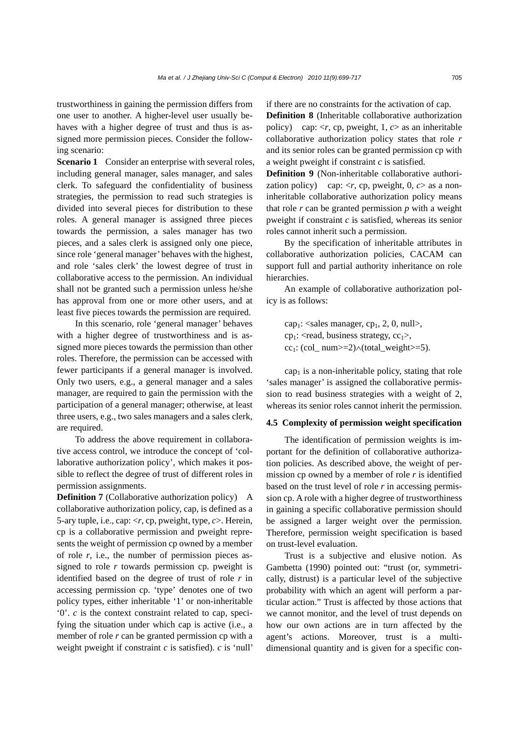trustworthiness in gaining the permission differs from one user to another. A higher-level user usually behaves with a higher degree of trust and thus is assigned more permission pieces. Consider the following scenario:

**Scenario 1** Consider an enterprise with several roles, including general manager, sales manager, and sales clerk. To safeguard the confidentiality of business strategies, the permission to read such strategies is divided into several pieces for distribution to these roles. A general manager is assigned three pieces towards the permission, a sales manager has two pieces, and a sales clerk is assigned only one piece, since role 'general manager' behaves with the highest, and role 'sales clerk' the lowest degree of trust in collaborative access to the permission. An individual shall not be granted such a permission unless he/she has approval from one or more other users, and at least five pieces towards the permission are required.

In this scenario, role 'general manager' behaves with a higher degree of trustworthiness and is assigned more pieces towards the permission than other roles. Therefore, the permission can be accessed with fewer participants if a general manager is involved. Only two users, e.g., a general manager and a sales manager, are required to gain the permission with the participation of a general manager; otherwise, at least three users, e.g., two sales managers and a sales clerk, are required.

To address the above requirement in collaborative access control, we introduce the concept of 'collaborative authorization policy', which makes it possible to reflect the degree of trust of different roles in permission assignments.

**Definition 7** (Collaborative authorization policy) A collaborative authorization policy, cap, is defined as a 5-ary tuple, i.e., cap: <*r*, cp, pweight, type, *c*>. Herein, cp is a collaborative permission and pweight represents the weight of permission cp owned by a member of role *r*, i.e., the number of permission pieces assigned to role *r* towards permission cp. pweight is identified based on the degree of trust of role *r* in accessing permission cp. 'type' denotes one of two policy types, either inheritable '1' or non-inheritable '0'. *c* is the context constraint related to cap, specifying the situation under which cap is active (i.e., a member of role *r* can be granted permission cp with a weight pweight if constraint *c* is satisfied). *c* is 'null' if there are no constraints for the activation of cap.

**Definition 8** (Inheritable collaborative authorization policy) cap: <*r*, cp, pweight, 1, *c*> as an inheritable collaborative authorization policy states that role *r* and its senior roles can be granted permission cp with a weight pweight if constraint *c* is satisfied.

**Definition 9** (Non-inheritable collaborative authorization policy) cap:  $\langle r, cp, p$  weight, 0,  $c \rangle$  as a noninheritable collaborative authorization policy means that role  $r$  can be granted permission  $p$  with a weight pweight if constraint *c* is satisfied, whereas its senior roles cannot inherit such a permission.

By the specification of inheritable attributes in collaborative authorization policies, CACAM can support full and partial authority inheritance on role hierarchies.

An example of collaborative authorization policy is as follows:

cap<sub>1</sub>:  $\langle$  sales manager, cp<sub>1</sub>, 2, 0, null $>$ , cp<sub>1</sub>: <read, business strategy,  $cc_1$ >, cc<sub>1</sub>: (col\_ num>=2) $\land$ (total\_weight>=5).

 $cap<sub>1</sub>$  is a non-inheritable policy, stating that role 'sales manager' is assigned the collaborative permission to read business strategies with a weight of 2, whereas its senior roles cannot inherit the permission.

## **4.5 Complexity of permission weight specification**

The identification of permission weights is important for the definition of collaborative authorization policies. As described above, the weight of permission cp owned by a member of role *r* is identified based on the trust level of role *r* in accessing permission cp. A role with a higher degree of trustworthiness in gaining a specific collaborative permission should be assigned a larger weight over the permission. Therefore, permission weight specification is based on trust-level evaluation.

Trust is a subjective and elusive notion. As Gambetta (1990) pointed out: "trust (or, symmetrically, distrust) is a particular level of the subjective probability with which an agent will perform a particular action." Trust is affected by those actions that we cannot monitor, and the level of trust depends on how our own actions are in turn affected by the agent's actions. Moreover, trust is a multidimensional quantity and is given for a specific con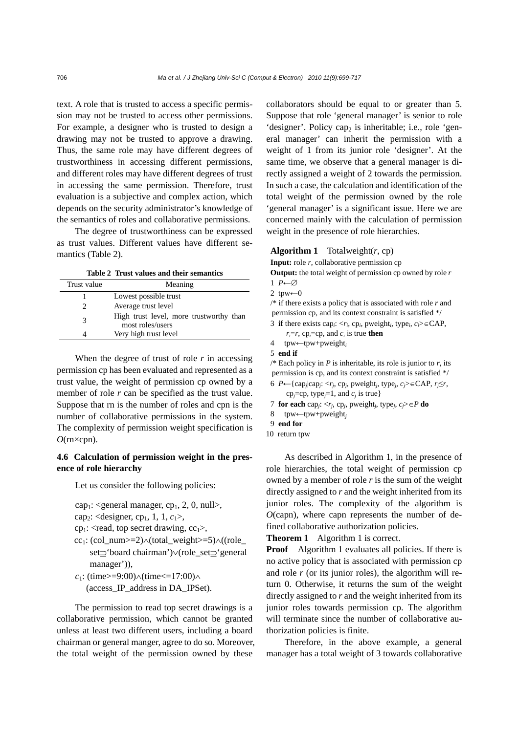text. A role that is trusted to access a specific permission may not be trusted to access other permissions. For example, a designer who is trusted to design a drawing may not be trusted to approve a drawing. Thus, the same role may have different degrees of trustworthiness in accessing different permissions, and different roles may have different degrees of trust in accessing the same permission. Therefore, trust evaluation is a subjective and complex action, which depends on the security administrator's knowledge of the semantics of roles and collaborative permissions.

The degree of trustworthiness can be expressed as trust values. Different values have different semantics (Table 2).

**Table 2 Trust values and their semantics**

| Trust value   | Meaning                                                     |
|---------------|-------------------------------------------------------------|
|               | Lowest possible trust                                       |
| $\mathcal{L}$ | Average trust level                                         |
| 3             | High trust level, more trustworthy than<br>most roles/users |
|               | Very high trust level                                       |

When the degree of trust of role *r* in accessing permission cp has been evaluated and represented as a trust value, the weight of permission cp owned by a member of role *r* can be specified as the trust value. Suppose that rn is the number of roles and cpn is the number of collaborative permissions in the system. The complexity of permission weight specification is *O*(rn×cpn).

## **4.6 Calculation of permission weight in the presence of role hierarchy**

Let us consider the following policies:

 $cap_1$ : <general manager,  $cp_1$ , 2, 0, null>,

```
cap<sub>2</sub>: <designer, cp<sub>1</sub>, 1, 1, c_1>,
```
 $cp<sub>1</sub>$ : <read, top secret drawing,  $cc<sub>1</sub>$ >,

- cc<sub>1</sub>: (col\_num>=2) $\land$ (total\_weight>=5) $\land$ ((role\_ set⊇'board chairman')∨(role\_set⊇'general manager')),
- *c*<sub>1</sub>: (time>=9:00)∧(time<=17:00)∧ (access\_IP\_address in DA\_IPSet).

The permission to read top secret drawings is a collaborative permission, which cannot be granted unless at least two different users, including a board chairman or general manger, agree to do so. Moreover, the total weight of the permission owned by these

collaborators should be equal to or greater than 5. Suppose that role 'general manager' is senior to role 'designer'. Policy cap<sub>2</sub> is inheritable; i.e., role 'general manager' can inherit the permission with a weight of 1 from its junior role 'designer'. At the same time, we observe that a general manager is directly assigned a weight of 2 towards the permission. In such a case, the calculation and identification of the total weight of the permission owned by the role 'general manager' is a significant issue. Here we are concerned mainly with the calculation of permission weight in the presence of role hierarchies.

## **Algorithm 1** Totalweight $(r, cp)$

**Input:** role *r*, collaborative permission cp

**Output:** the total weight of permission cp owned by role *r* 1 *P*←∅

2 tpw← $0$ 

/\* if there exists a policy that is associated with role *r* and permission cp, and its context constraint is satisfied \*/

- 3 **if** there exists cap<sub>*i*</sub>:  $\langle r_i, cp_i, p$  weight<sub>*i*</sub>, type<sub>*i*</sub>, *c<sub>i</sub>*>∈CAP,  $r_i = r$ , cp<sub>*i*</sub>=cp, and  $c_i$  is true **then**
- 4 tpw←tpw+pweight*<sup>i</sup>*
- 5 **end if**

/\* Each policy in *P* is inheritable, its role is junior to *r*, its permission is cp, and its context constraint is satisfied \*/

- 6 *P*←{cap*j*|cap*j*: <*rj*, cp*j*, pweight*j*, type*j*, *cj*>∈CAP, *rj*≤*r*, cp<sub>j</sub>=cp, type<sub>j</sub>=1, and  $c<sub>j</sub>$  is true}
- 7 **for each** cap*j*: <*rj*, cp*j*, pweight*j*, type*j*, *cj*>∈*P* **do**
- 8 tpw←tpw+pweight*<sup>j</sup>*
- 9 **end for**
- 10 return tpw

As described in Algorithm 1, in the presence of role hierarchies, the total weight of permission cp owned by a member of role *r* is the sum of the weight directly assigned to *r* and the weight inherited from its junior roles. The complexity of the algorithm is *O*(capn), where capn represents the number of defined collaborative authorization policies.

**Theorem 1** Algorithm 1 is correct.

**Proof** Algorithm 1 evaluates all policies. If there is no active policy that is associated with permission cp and role *r* (or its junior roles), the algorithm will return 0. Otherwise, it returns the sum of the weight directly assigned to *r* and the weight inherited from its junior roles towards permission cp. The algorithm will terminate since the number of collaborative authorization policies is finite.

Therefore, in the above example, a general manager has a total weight of 3 towards collaborative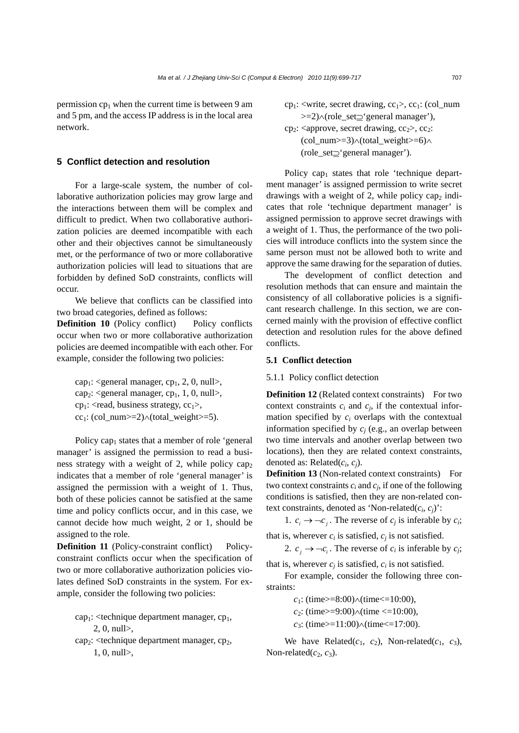permission  $cp<sub>1</sub>$  when the current time is between 9 am and 5 pm, and the access IP address is in the local area network.

## **5 Conflict detection and resolution**

For a large-scale system, the number of collaborative authorization policies may grow large and the interactions between them will be complex and difficult to predict. When two collaborative authorization policies are deemed incompatible with each other and their objectives cannot be simultaneously met, or the performance of two or more collaborative authorization policies will lead to situations that are forbidden by defined SoD constraints, conflicts will occur.

We believe that conflicts can be classified into two broad categories, defined as follows:

**Definition 10** (Policy conflict) Policy conflicts occur when two or more collaborative authorization policies are deemed incompatible with each other. For example, consider the following two policies:

 $cap_1$ : <general manager, cp<sub>1</sub>, 2, 0, null>, cap<sub>2</sub>: <general manager, cp<sub>1</sub>, 1, 0, null>, cp<sub>1</sub>: <read, business strategy,  $cc_1$ >, cc<sub>1</sub>: (col\_num>=2) $\land$ (total\_weight>=5).

Policy cap<sub>1</sub> states that a member of role 'general manager' is assigned the permission to read a business strategy with a weight of 2, while policy cap. indicates that a member of role 'general manager' is assigned the permission with a weight of 1. Thus, both of these policies cannot be satisfied at the same time and policy conflicts occur, and in this case, we cannot decide how much weight, 2 or 1, should be assigned to the role.

**Definition 11** (Policy-constraint conflict) Policyconstraint conflicts occur when the specification of two or more collaborative authorization policies violates defined SoD constraints in the system. For example, consider the following two policies:

cap<sub>1</sub>: <technique department manager,  $cp_1$ , 2, 0, null>,

 $cap_2$ : <technique department manager,  $cp_2$ , 1, 0, null>,

cp<sub>1</sub>: <write, secret drawing,  $cc_1$ >,  $cc_1$ : (col\_num >=2)∧(role\_set⊇'general manager'),  $cp_2$ : <approve, secret drawing,  $cc_2$ ,  $cc_2$ : (col\_num>=3)∧(total\_weight>=6)∧ (role\_set⊇'general manager').

Policy  $cap_1$  states that role 'technique department manager' is assigned permission to write secret drawings with a weight of 2, while policy cap<sub>2</sub> indicates that role 'technique department manager' is assigned permission to approve secret drawings with a weight of 1. Thus, the performance of the two policies will introduce conflicts into the system since the same person must not be allowed both to write and approve the same drawing for the separation of duties.

The development of conflict detection and resolution methods that can ensure and maintain the consistency of all collaborative policies is a significant research challenge. In this section, we are concerned mainly with the provision of effective conflict detection and resolution rules for the above defined conflicts.

## **5.1 Conflict detection**

5.1.1 Policy conflict detection

**Definition 12** (Related context constraints) For two context constraints  $c_i$  and  $c_j$ , if the contextual information specified by *ci* overlaps with the contextual information specified by *cj* (e.g., an overlap between two time intervals and another overlap between two locations), then they are related context constraints, denoted as: Related(*ci*, *cj*).

**Definition 13** (Non-related context constraints) For two context constraints  $c_i$  and  $c_j$ , if one of the following conditions is satisfied, then they are non-related context constraints, denoted as 'Non-related(*ci*, *cj*)':

1.  $c_i \rightarrow -c_j$ . The reverse of  $c_j$  is inferable by  $c_i$ ;

that is, wherever  $c_i$  is satisfied,  $c_j$  is not satisfied.

2.  $c_i \rightarrow \neg c_i$ . The reverse of  $c_i$  is inferable by  $c_i$ ;

that is, wherever  $c_i$  is satisfied,  $c_i$  is not satisfied. For example, consider the following three con-

straints:

*c*<sub>1</sub>: (time>=8:00)∧(time<=10:00),

*c*<sub>2</sub>: (time>=9:00)∧(time <=10:00),

*c*<sub>3</sub>: (time>=11:00)∧(time<=17:00).

We have Related( $c_1$ ,  $c_2$ ), Non-related( $c_1$ ,  $c_3$ ), Non-related $(c_2, c_3)$ .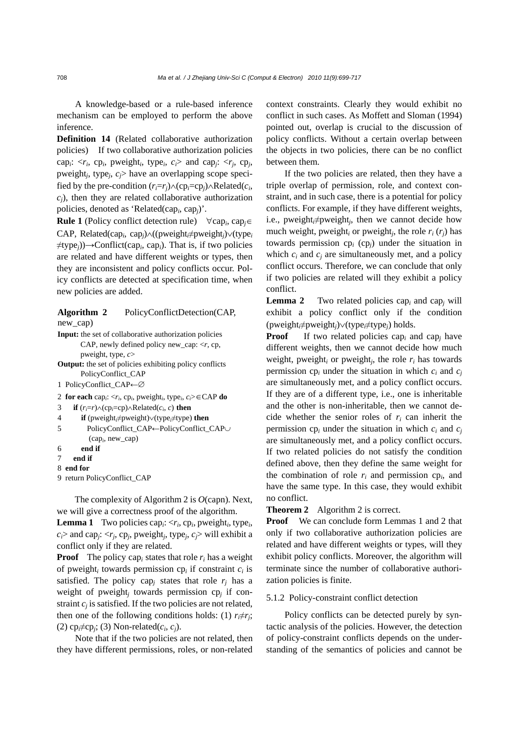A knowledge-based or a rule-based inference mechanism can be employed to perform the above inference.

**Definition 14** (Related collaborative authorization policies) If two collaborative authorization policies cap<sub>*i*</sub>:  $\langle r_i, cp_i, p$ weight<sub>*i*</sub>, type<sub>*i*</sub>, *c<sub>i</sub>*> and cap<sub>*j*</sub>:  $\langle r_j, cp_j,$ pweight*j*, type*j*, *cj*> have an overlapping scope specified by the pre-condition  $(r_i=r_j) \wedge (cp_i=cp_j) \wedge Related(c_i,$ *cj*), then they are related collaborative authorization policies, denoted as 'Related(cap*i*, cap*j*)'.

**Rule 1** (Policy conflict detection rule) ∀cap*i*, cap*j*∈ CAP, Related(cap*i*, cap*j*)∧((pweight*i*≠pweight*j*)∨(type*<sup>i</sup>* ≠type*j*))→Conflict(cap*i*, cap*i*). That is, if two policies are related and have different weights or types, then they are inconsistent and policy conflicts occur. Policy conflicts are detected at specification time, when new policies are added.

## **Algorithm 2** PolicyConflictDetection(CAP, new\_cap)

**Input:** the set of collaborative authorization policies

- CAP, newly defined policy new\_cap: <*r*, cp, pweight, type, *c*>
- **Output:** the set of policies exhibiting policy conflicts PolicyConflict\_CAP
- 1 PolicyConflict\_CAP←∅
- 2 **for each** cap*i*: <*ri*, cp*i*, pweight*i*, type*i*, *ci*>∈CAP **do**
- 3 **if**  $(r_i=r) \land (cp_i=cp) \land Related(c_i, c)$  **then**
- 4 **if** (pweight*i*≠pweight)∨(type*i*≠type) **then**
- 5 PolicyConflict\_CAP←PolicyConflict\_CAP∪ (cap*i*, new\_cap)
- 6 **end if**
- $7$  **end if**

```
8 end for
```
9 return PolicyConflict\_CAP

The complexity of Algorithm 2 is *O*(capn). Next, we will give a correctness proof of the algorithm.

**Lemma 1** Two policies cap<sub>*i*</sub>:  $\langle r_i, cp_i, \text{pweight}_i, \text{type}_i, \rangle$  $c_i$ > and cap<sub>*i*</sub>: <*r<sub>i</sub>*, cp<sub>*i*</sub>, pweight<sub>*i*</sub>, type<sub>*i*</sub>, *c<sub>i</sub>*> will exhibit a conflict only if they are related.

**Proof** The policy cap<sub>i</sub> states that role  $r_i$  has a weight of pweight*i* towards permission cp*i* if constraint *ci* is satisfied. The policy cap<sub>i</sub> states that role  $r_i$  has a weight of pweight<sub>*j*</sub> towards permission cp<sub>*j*</sub> if constraint  $c_i$  is satisfied. If the two policies are not related, then one of the following conditions holds: (1)  $r_i \neq r_i$ ; (2)  $cp_i \neq cp_i$ ; (3) Non-related( $c_i, c_j$ ).

Note that if the two policies are not related, then they have different permissions, roles, or non-related context constraints. Clearly they would exhibit no conflict in such cases. As Moffett and Sloman (1994) pointed out, overlap is crucial to the discussion of policy conflicts. Without a certain overlap between the objects in two policies, there can be no conflict between them.

If the two policies are related, then they have a triple overlap of permission, role, and context constraint, and in such case, there is a potential for policy conflicts. For example, if they have different weights, i.e., pweight*i*≠pweight*j*, then we cannot decide how much weight, pweight<sub>*i*</sub> or pweight<sub>*i*</sub>, the role  $r_i(r_i)$  has towards permission cp*<sup>i</sup>* (cp*j*) under the situation in which  $c_i$  and  $c_j$  are simultaneously met, and a policy conflict occurs. Therefore, we can conclude that only if two policies are related will they exhibit a policy conflict.

**Lemma 2** Two related policies cap*i* and cap*j* will exhibit a policy conflict only if the condition (pweight*i*≠pweight*j*)∨(type*i*≠type*j*) holds.

**Proof** If two related policies cap<sub>*i*</sub> and cap<sub>*j*</sub> have different weights, then we cannot decide how much weight, pweight<sub>i</sub> or pweight<sub>i</sub>, the role  $r_i$  has towards permission  $cp_i$  under the situation in which  $c_i$  and  $c_j$ are simultaneously met, and a policy conflict occurs. If they are of a different type, i.e., one is inheritable and the other is non-inheritable, then we cannot decide whether the senior roles of  $r_i$  can inherit the permission cp*i* under the situation in which *ci* and *cj* are simultaneously met, and a policy conflict occurs. If two related policies do not satisfy the condition defined above, then they define the same weight for the combination of role  $r_i$  and permission  $cp_i$ , and have the same type. In this case, they would exhibit no conflict.

## **Theorem 2** Algorithm 2 is correct.

**Proof** We can conclude form Lemmas 1 and 2 that only if two collaborative authorization policies are related and have different weights or types, will they exhibit policy conflicts. Moreover, the algorithm will terminate since the number of collaborative authorization policies is finite.

#### 5.1.2 Policy-constraint conflict detection

Policy conflicts can be detected purely by syntactic analysis of the policies. However, the detection of policy-constraint conflicts depends on the understanding of the semantics of policies and cannot be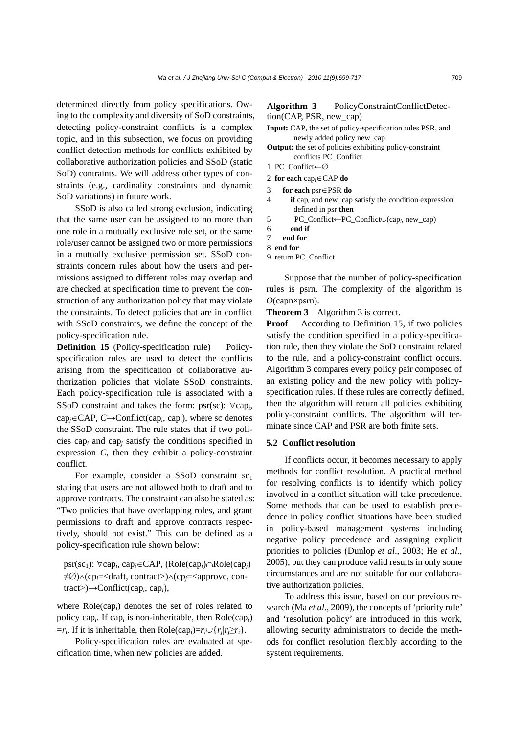determined directly from policy specifications. Owing to the complexity and diversity of SoD constraints, detecting policy-constraint conflicts is a complex topic, and in this subsection, we focus on providing conflict detection methods for conflicts exhibited by collaborative authorization policies and SSoD (static SoD) contraints. We will address other types of constraints (e.g., cardinality constraints and dynamic SoD variations) in future work.

SSoD is also called strong exclusion, indicating that the same user can be assigned to no more than one role in a mutually exclusive role set, or the same role/user cannot be assigned two or more permissions in a mutually exclusive permission set. SSoD constraints concern rules about how the users and permissions assigned to different roles may overlap and are checked at specification time to prevent the construction of any authorization policy that may violate the constraints. To detect policies that are in conflict with SSoD constraints, we define the concept of the policy-specification rule.

**Definition 15** (Policy-specification rule) Policyspecification rules are used to detect the conflicts arising from the specification of collaborative authorization policies that violate SSoD constraints. Each policy-specification rule is associated with a SSoD constraint and takes the form: psr(sc): ∀cap*i*, cap*j*∈CAP, *C*→Conflict(cap*i*, cap*i*), where sc denotes the SSoD constraint. The rule states that if two policies cap*i* and cap*j* satisfy the conditions specified in expression *C*, then they exhibit a policy-constraint conflict.

For example, consider a SSoD constraint  $sc<sub>1</sub>$ stating that users are not allowed both to draft and to approve contracts. The constraint can also be stated as: "Two policies that have overlapping roles, and grant permissions to draft and approve contracts respectively, should not exist." This can be defined as a policy-specification rule shown below:

psr(sc1): ∀cap*i*, cap*i*∈CAP, (Role(cap*i*)∩Role(cap*j*) ≠∅)∧(cp*i*=<draft, contract>)∧(cp*j*=<approve, contract>)→Conflict(cap*i*, cap*i*),

where Role(cap*i*) denotes the set of roles related to policy cap*i*. If cap*<sup>i</sup>* is non-inheritable, then Role(cap*i*)  $=r_i$ . If it is inheritable, then Role(cap<sub>i</sub>)= $r_i \cup \{r_j | r_j \ge r_i\}$ .

Policy-specification rules are evaluated at specification time, when new policies are added.

## **Algorithm 3** PolicyConstraintConflictDetection(CAP, PSR, new\_cap)

- **Input:** CAP, the set of policy-specification rules PSR, and newly added policy new\_cap
- **Output:** the set of policies exhibiting policy-constraint conflicts PC\_Conflict
- 1 PC\_Conflict←∅
- 2 **for each** cap*i*∈CAP **do**
- 3 **for each** psr∈PSR **do**
- 4 **if** cap*i* and new\_cap satisfy the condition expression defined in psr **then**
- 5 PC\_Conflict←PC\_Conflict∪(cap*i*, new\_cap)
- 6 **end if**
- 7 **end for**
- 8 **end for**
- 9 return PC\_Conflict

Suppose that the number of policy-specification rules is psrn. The complexity of the algorithm is *O*(capn×psrn).

**Theorem 3** Algorithm 3 is correct.

**Proof** According to Definition 15, if two policies satisfy the condition specified in a policy-specification rule, then they violate the SoD constraint related to the rule, and a policy-constraint conflict occurs. Algorithm 3 compares every policy pair composed of an existing policy and the new policy with policyspecification rules. If these rules are correctly defined, then the algorithm will return all policies exhibiting policy-constraint conflicts. The algorithm will terminate since CAP and PSR are both finite sets.

## **5.2 Conflict resolution**

If conflicts occur, it becomes necessary to apply methods for conflict resolution. A practical method for resolving conflicts is to identify which policy involved in a conflict situation will take precedence. Some methods that can be used to establish precedence in policy conflict situations have been studied in policy-based management systems including negative policy precedence and assigning explicit priorities to policies (Dunlop *et al*., 2003; He *et al*., 2005), but they can produce valid results in only some circumstances and are not suitable for our collaborative authorization policies.

To address this issue, based on our previous research (Ma *et al*., 2009), the concepts of 'priority rule' and 'resolution policy' are introduced in this work, allowing security administrators to decide the methods for conflict resolution flexibly according to the system requirements.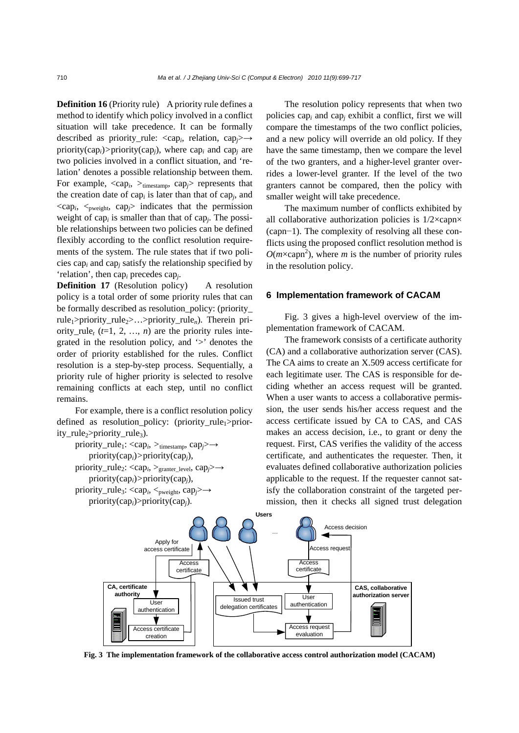**Definition 16** (Priority rule) A priority rule defines a method to identify which policy involved in a conflict situation will take precedence. It can be formally described as priority\_rule: <cap*i*, relation, cap*j*>*→* priority(cap<sub>*i*</sub>)>priority(cap<sub>*i*</sub>), where cap<sub>*i*</sub> and cap<sub>*i*</sub> are two policies involved in a conflict situation, and 'relation' denotes a possible relationship between them. For example, <cap*i*, *>*timestamp, cap*j*> represents that the creation date of cap*i* is later than that of cap*j*, and  $\langle \text{cap}_i, \langle \text{Poisson}_i \rangle$  cap<sub>j</sub>> indicates that the permission weight of cap*<sup>i</sup>* is smaller than that of cap*j*. The possible relationships between two policies can be defined flexibly according to the conflict resolution requirements of the system. The rule states that if two policies cap*i* and cap*j* satisfy the relationship specified by 'relation', then cap*i* precedes cap*j*.

**Definition 17** (Resolution policy) A resolution policy is a total order of some priority rules that can be formally described as resolution\_policy: (priority\_ rule1>priority\_rule2>…>priority\_rule*n*). Therein priority\_rule<sub>t</sub> ( $t=1, 2, ..., n$ ) are the priority rules integrated in the resolution policy, and  $\geq$  denotes the order of priority established for the rules. Conflict resolution is a step-by-step process. Sequentially, a priority rule of higher priority is selected to resolve remaining conflicts at each step, until no conflict remains.

For example, there is a conflict resolution policy defined as resolution\_policy: (priority\_rule<sub>1</sub>>priority\_rule<sub>2</sub>>priority\_rule<sub>3</sub>).

```
priority_rule1: <capi, >timestamp, capj>→
    priority(capi)>priority(capj), 
priority_rule2: <capi, >granter_level, capj>→
    priority(capi)>priority(capj), 
priority_rule<sub>3</sub>: <cap<sub>i</sub>, <<sub>pweight</sub>, cap<sub>i</sub>>→
    priority(capi)>priority(capj).
```
The resolution policy represents that when two policies cap*i* and cap*j* exhibit a conflict, first we will compare the timestamps of the two conflict policies, and a new policy will override an old policy. If they have the same timestamp, then we compare the level of the two granters, and a higher-level granter overrides a lower-level granter. If the level of the two granters cannot be compared, then the policy with smaller weight will take precedence.

The maximum number of conflicts exhibited by all collaborative authorization policies is 1/2×capn× (capn−1). The complexity of resolving all these conflicts using the proposed conflict resolution method is  $O(m \times capn^2)$ , where *m* is the number of priority rules in the resolution policy.

#### **6 Implementation framework of CACAM**

Fig. 3 gives a high-level overview of the implementation framework of CACAM.

The framework consists of a certificate authority (CA) and a collaborative authorization server (CAS). The CA aims to create an X.509 access certificate for each legitimate user. The CAS is responsible for deciding whether an access request will be granted. When a user wants to access a collaborative permission, the user sends his/her access request and the access certificate issued by CA to CAS, and CAS makes an access decision, i.e., to grant or deny the request. First, CAS verifies the validity of the access certificate, and authenticates the requester. Then, it evaluates defined collaborative authorization policies applicable to the request. If the requester cannot satisfy the collaboration constraint of the targeted permission, then it checks all signed trust delegation



**Fig. 3 The implementation framework of the collaborative access control authorization model (CACAM)**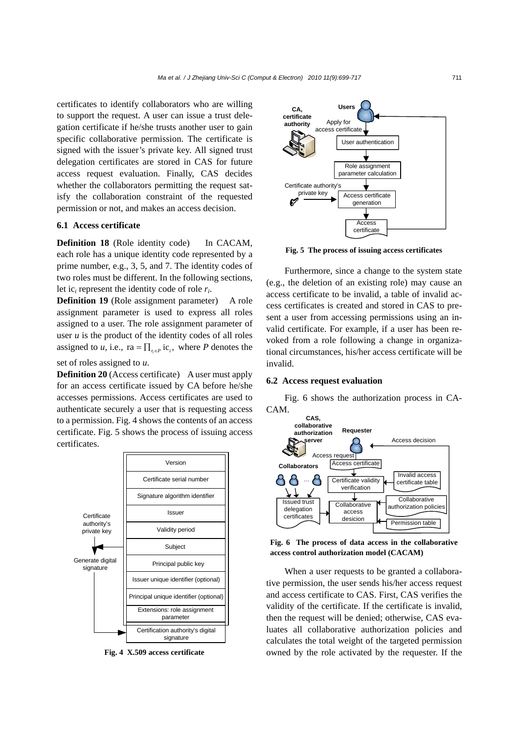certificates to identify collaborators who are willing to support the request. A user can issue a trust delegation certificate if he/she trusts another user to gain specific collaborative permission. The certificate is signed with the issuer's private key. All signed trust delegation certificates are stored in CAS for future access request evaluation. Finally, CAS decides whether the collaborators permitting the request satisfy the collaboration constraint of the requested permission or not, and makes an access decision.

## **6.1 Access certificate**

**Definition 18** (Role identity code) In CACAM, each role has a unique identity code represented by a prime number, e.g., 3, 5, and 7. The identity codes of two roles must be different. In the following sections, let ic*i* represent the identity code of role *ri*.

**Definition 19** (Role assignment parameter) A role assignment parameter is used to express all roles assigned to a user. The role assignment parameter of user *u* is the product of the identity codes of all roles assigned to *u*, i.e.,  $ra = \prod_{r \in P} ic_i$ , where *P* denotes the

set of roles assigned to *u*.

**Definition 20** (Access certificate) A user must apply for an access certificate issued by CA before he/she accesses permissions. Access certificates are used to authenticate securely a user that is requesting access to a permission. Fig. 4 shows the contents of an access certificate. Fig. 5 shows the process of issuing access certificates.



**Fig. 4 X.509 access certificate**



**Fig. 5 The process of issuing access certificates**

Furthermore, since a change to the system state (e.g., the deletion of an existing role) may cause an access certificate to be invalid, a table of invalid access certificates is created and stored in CAS to present a user from accessing permissions using an invalid certificate. For example, if a user has been revoked from a role following a change in organizational circumstances, his/her access certificate will be invalid.

#### **6.2 Access request evaluation**

Fig. 6 shows the authorization process in CA-CAM.



**Fig. 6 The process of data access in the collaborative access control authorization model (CACAM)**

When a user requests to be granted a collaborative permission, the user sends his/her access request and access certificate to CAS. First, CAS verifies the validity of the certificate. If the certificate is invalid, then the request will be denied; otherwise, CAS evaluates all collaborative authorization policies and calculates the total weight of the targeted permission owned by the role activated by the requester. If the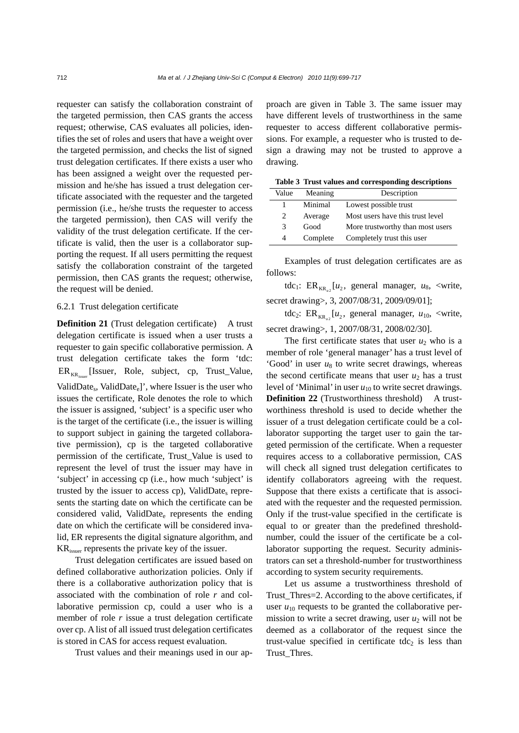requester can satisfy the collaboration constraint of the targeted permission, then CAS grants the access request; otherwise, CAS evaluates all policies, identifies the set of roles and users that have a weight over the targeted permission, and checks the list of signed trust delegation certificates. If there exists a user who has been assigned a weight over the requested permission and he/she has issued a trust delegation certificate associated with the requester and the targeted permission (i.e., he/she trusts the requester to access the targeted permission), then CAS will verify the validity of the trust delegation certificate. If the certificate is valid, then the user is a collaborator supporting the request. If all users permitting the request satisfy the collaboration constraint of the targeted permission, then CAS grants the request; otherwise, the request will be denied.

#### 6.2.1 Trust delegation certificate

**Definition 21** (Trust delegation certificate) A trust delegation certificate is issued when a user trusts a requester to gain specific collaborative permission. A trust delegation certificate takes the form 'tdc:  $ER_{KR}$  [Issuer, Role, subject, cp, Trust\_Value, ValidDate<sub>s</sub>, ValidDate<sub>e</sub>]', where Issuer is the user who issues the certificate, Role denotes the role to which the issuer is assigned, 'subject' is a specific user who is the target of the certificate (i.e., the issuer is willing to support subject in gaining the targeted collaborative permission), cp is the targeted collaborative permission of the certificate, Trust\_Value is used to represent the level of trust the issuer may have in 'subject' in accessing cp (i.e., how much 'subject' is trusted by the issuer to access cp), ValidDate, represents the starting date on which the certificate can be considered valid, ValidDate $_{e}$  represents the ending date on which the certificate will be considered invalid, ER represents the digital signature algorithm, and KRissuer represents the private key of the issuer.

Trust delegation certificates are issued based on defined collaborative authorization policies. Only if there is a collaborative authorization policy that is associated with the combination of role *r* and collaborative permission cp, could a user who is a member of role  $r$  issue a trust delegation certificate over cp. A list of all issued trust delegation certificates is stored in CAS for access request evaluation.

Trust values and their meanings used in our ap-

proach are given in Table 3. The same issuer may have different levels of trustworthiness in the same requester to access different collaborative permissions. For example, a requester who is trusted to design a drawing may not be trusted to approve a drawing.

**Table 3 Trust values and corresponding descriptions**

| Value | Meaning  | Description                      |
|-------|----------|----------------------------------|
| 1     | Minimal  | Lowest possible trust            |
| 2     | Average  | Most users have this trust level |
| 3     | Good     | More trustworthy than most users |
| 4     | Complete | Completely trust this user       |

Examples of trust delegation certificates are as follows:

tdc<sub>1</sub>: ER<sub>KR</sub>  $[u_2,$  general manager,  $u_8$ , <write, secret drawing>, 3, 2007/08/31, 2009/09/01];

tdc<sub>2</sub>: ER<sub>KR</sub><sub> $\mu$ </sub> [ $u$ <sub>2</sub>, general manager,  $u$ <sub>10</sub>, <write, secret drawing>, 1, 2007/08/31, 2008/02/30].

The first certificate states that user  $u_2$  who is a member of role 'general manager' has a trust level of 'Good' in user  $u_8$  to write secret drawings, whereas the second certificate means that user  $u_2$  has a trust level of 'Minimal' in user  $u_{10}$  to write secret drawings. **Definition 22** (Trustworthiness threshold) A trustworthiness threshold is used to decide whether the issuer of a trust delegation certificate could be a collaborator supporting the target user to gain the targeted permission of the certificate. When a requester requires access to a collaborative permission, CAS will check all signed trust delegation certificates to identify collaborators agreeing with the request. Suppose that there exists a certificate that is associated with the requester and the requested permission. Only if the trust-value specified in the certificate is equal to or greater than the predefined thresholdnumber, could the issuer of the certificate be a collaborator supporting the request. Security administrators can set a threshold-number for trustworthiness according to system security requirements.

Let us assume a trustworthiness threshold of Trust\_Thres=2. According to the above certificates, if user  $u_{10}$  requests to be granted the collaborative permission to write a secret drawing, user  $u_2$  will not be deemed as a collaborator of the request since the trust-value specified in certificate tdc<sub>2</sub> is less than Trust\_Thres.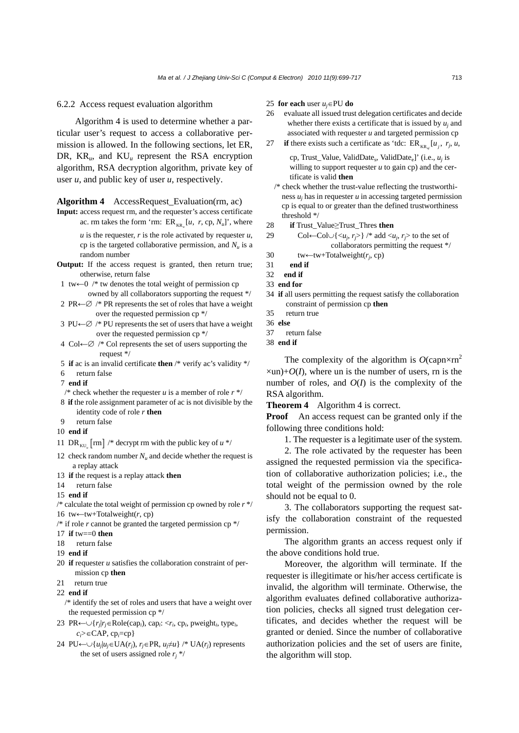#### 6.2.2 Access request evaluation algorithm

Algorithm 4 is used to determine whether a particular user's request to access a collaborative permission is allowed. In the following sections, let ER, DR, KR*u*, and KU*<sup>u</sup>* represent the RSA encryption algorithm, RSA decryption algorithm, private key of user *u*, and public key of user *u*, respectively.

#### **Algorithm 4** AccessRequest\_Evaluation(rm, ac)

**Input:** access request rm, and the requester's access certificate ac. rm takes the form 'rm:  $ER_{KR_u}[u, r, cp, N_u]$ ', where

*u* is the requester, *r* is the role activated by requester *u*, cp is the targeted collaborative permission, and *Nu* is a random number

- **Output:** If the access request is granted, then return true; otherwise, return false
- 1 tw←0 /\* tw denotes the total weight of permission cp owned by all collaborators supporting the request \*/
- 2 PR←∅ /\* PR represents the set of roles that have a weight over the requested permission cp \*/
- 3 PU $\leftarrow \emptyset$  /\* PU represents the set of users that have a weight over the requested permission cp \*/
- 4 Col←∅ /\* Col represents the set of users supporting the request \*/
- 5 **if** ac is an invalid certificate **then** /\* verify ac's validity \*/
- 6 return false
- 7 **end if**
- /\* check whether the requester  $u$  is a member of role  $r$  \*/
- 8 **if** the role assignment parameter of ac is not divisible by the identity code of role *r* **then**
- 9return false
- 10 **end if**
- 11 DR<sub>KU</sub>  $\lceil \text{rm} \rceil$  /\* decrypt rm with the public key of  $u \cdot \sqrt{k}$
- 12 check random number  $N_u$  and decide whether the request is a replay attack
- 13 **if** the request is a replay attack **then**
- 14 return false
- 15 **end if**
- /\* calculate the total weight of permission cp owned by role *r* \*/ 16 tw←tw+Totalweight(*r*, cp)
- $/*$  if role  *cannot be granted the targeted permission cp*  $*/$
- 17 **if** tw==0 **then**
- 18 return false
- 19 **end if**
- 20 **if** requester *u* satisfies the collaboration constraint of permission cp **then**
- 21 return true
- 22 **end if**
- /\* identify the set of roles and users that have a weight over the requested permission cp \*/
- 23 PR←∪{*rj*|*rj*∈Role(cap*i*), cap*i*: <*ri*, cp*i*, pweight*i*, type*i*, *ci*>∈CAP, cp*i*=cp}
- 24 PU← $\bigcup \{u_i | u_i \in \text{UA}(r_i), r_i \in \text{PR}, u_i \neq u\}$  /\* UA( $r_i$ ) represents the set of users assigned role  $r_i$ <sup>\*</sup>/

#### 25 **for each** user *uj*∈PU **do**

- 26 evaluate all issued trust delegation certificates and decide whether there exists a certificate that is issued by *uj* and associated with requester *u* and targeted permission cp
- 27 **if** there exists such a certificate as 'tdc:  $ER_{KR} [u_i, r_j, u,$

cp, Trust\_Value, ValidDate<sub>s</sub>, ValidDate<sub>e</sub>]' (i.e.,  $u_i$  is willing to support requester  $u$  to gain cp) and the certificate is valid **then** 

- /\* check whether the trust-value reflecting the trustworthiness *uj* has in requester *u* in accessing targeted permission cp is equal to or greater than the defined trustworthiness threshold \*/
- 28 **if** Trust\_Value≥Trust\_Thres **then**
- 29 Col←Col∪{< $u_i$ ,  $r_i$ >} /\* add < $u_i$ ,  $r_i$ > to the set of collaborators permitting the request \*/
- 30 tw←tw+Totalweight(*rj*, cp)
- 31 **end if**
- 32 **end if**
- 33 **end for**
- 34 **if** all users permitting the request satisfy the collaboration constraint of permission cp **then**
- 35return true
- 36 **else**
- 37return false
- 38 **end if**

The complexity of the algorithm is  $O(\text{capn} \times \text{rn}^2)$  $\times$ un)+ $O(I)$ , where un is the number of users, rn is the number of roles, and *O*(*I*) is the complexity of the RSA algorithm.

**Theorem 4** Algorithm 4 is correct.

**Proof** An access request can be granted only if the following three conditions hold:

1. The requester is a legitimate user of the system.

2. The role activated by the requester has been assigned the requested permission via the specification of collaborative authorization policies; i.e., the total weight of the permission owned by the role should not be equal to 0.

3. The collaborators supporting the request satisfy the collaboration constraint of the requested permission.

The algorithm grants an access request only if the above conditions hold true.

Moreover, the algorithm will terminate. If the requester is illegitimate or his/her access certificate is invalid, the algorithm will terminate. Otherwise, the algorithm evaluates defined collaborative authorization policies, checks all signed trust delegation certificates, and decides whether the request will be granted or denied. Since the number of collaborative authorization policies and the set of users are finite, the algorithm will stop.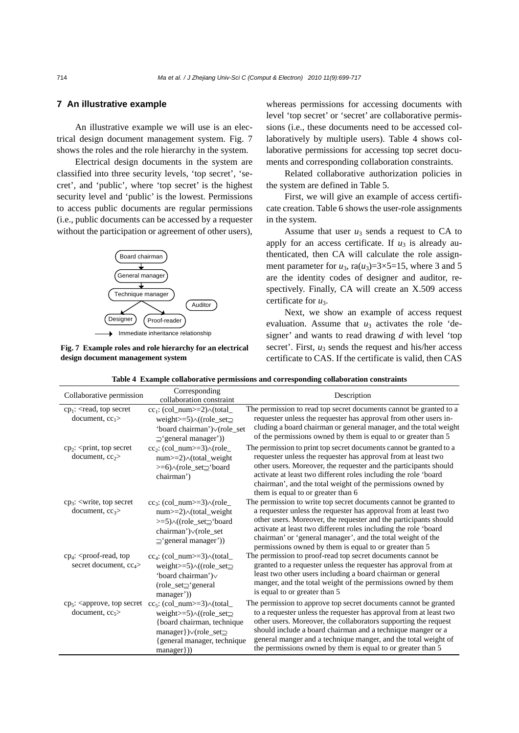## **7 An illustrative example**

An illustrative example we will use is an electrical design document management system. Fig. 7 shows the roles and the role hierarchy in the system.

Electrical design documents in the system are classified into three security levels, 'top secret', 'secret', and 'public', where 'top secret' is the highest security level and 'public' is the lowest. Permissions to access public documents are regular permissions (i.e., public documents can be accessed by a requester without the participation or agreement of other users),



**Fig. 7 Example roles and role hierarchy for an electrical design document management system**

whereas permissions for accessing documents with level 'top secret' or 'secret' are collaborative permissions (i.e., these documents need to be accessed collaboratively by multiple users). Table 4 shows collaborative permissions for accessing top secret documents and corresponding collaboration constraints.

Related collaborative authorization policies in the system are defined in Table 5.

First, we will give an example of access certificate creation. Table 6 shows the user-role assignments in the system.

Assume that user  $u_3$  sends a request to CA to apply for an access certificate. If  $u_3$  is already authenticated, then CA will calculate the role assignment parameter for  $u_3$ , ra $(u_3)=3\times5=15$ , where 3 and 5 are the identity codes of designer and auditor, respectively. Finally, CA will create an X.509 access certificate for *u*3.

Next, we show an example of access request evaluation. Assume that  $u_3$  activates the role 'designer' and wants to read drawing *d* with level 'top secret'. First,  $u_3$  sends the request and his/her access certificate to CAS. If the certificate is valid, then CAS

| Collaborative permission                                                          | Corresponding<br>collaboration constraint                                                                                                                                                                                                                                                                                                                              | Description                                                                                                                                                                                                                                                                                                                                                                                               |
|-----------------------------------------------------------------------------------|------------------------------------------------------------------------------------------------------------------------------------------------------------------------------------------------------------------------------------------------------------------------------------------------------------------------------------------------------------------------|-----------------------------------------------------------------------------------------------------------------------------------------------------------------------------------------------------------------------------------------------------------------------------------------------------------------------------------------------------------------------------------------------------------|
| $cp_1$ : <read, secret<br="" top="">document, <math>cc_1</math>&gt;</read,>       | $cc_1$ : (col_num>=2) $\wedge$ (total_<br>weight $>=5$ ) $\land$ ((role_set $\supseteq$<br>'board chairman') v(role_set<br>$\supseteq$ 'general manager'))                                                                                                                                                                                                             | The permission to read top secret documents cannot be granted to a<br>requester unless the requester has approval from other users in-<br>cluding a board chairman or general manager, and the total weight<br>of the permissions owned by them is equal to or greater than 5                                                                                                                             |
| $cp_2$ : <print, secret<br="" top="">document, <math>cc_2</math></print,>         | $cc_2$ : (col_num>=3) $\land$ (role_<br>num>=2) $\wedge$ (total_weight<br>>=6) \(role_set_'board<br>chairman')                                                                                                                                                                                                                                                         | The permission to print top secret documents cannot be granted to a<br>requester unless the requester has approval from at least two<br>other users. Moreover, the requester and the participants should<br>activate at least two different roles including the role 'board<br>chairman', and the total weight of the permissions owned by<br>them is equal to or greater than 6                          |
| $cp_3$ : <write, secret<br="" top="">document, <math>cc3</math></write,>          | $cc_3$ : (col_num>=3) $\land$ (role_<br>$num \geq 2$ \oldex \text{ \text{ \text{ \text{ \text{ \text{ \text{ \text{ \text{ \text{ \text{ \text{ \text{ \text{ \text{ \text{ \text{ \text{ \text{ \text{ \text{ \text{ \text{ \text{ \text{ \text{ \text{ \text{ \text{ \t<br>>=5) $\land$ ((role_set_'board<br>chairman')∨(role_set<br>$\supseteq$ 'general manager')) | The permission to write top secret documents cannot be granted to<br>a requester unless the requester has approval from at least two<br>other users. Moreover, the requester and the participants should<br>activate at least two different roles including the role 'board<br>chairman' or 'general manager', and the total weight of the<br>permissions owned by them is equal to or greater than 5     |
| $cp_4$ : <proof-read, top<br="">secret document, cc<sub>4</sub>&gt;</proof-read,> | $cc_4$ : (col_num>=3) $\wedge$ (total_<br>weight $>=5$ ) $\land$ ((role_set $\supseteq$<br>'board chairman') $\vee$<br>$(role_set\_'general)$<br>manager'))                                                                                                                                                                                                            | The permission to proof-read top secret documents cannot be<br>granted to a requester unless the requester has approval from at<br>least two other users including a board chairman or general<br>manger, and the total weight of the permissions owned by them<br>is equal to or greater than 5                                                                                                          |
| $cp5$ : <approve, secret<br="" top="">document, <math>cc5</math></approve,>       | $cc_5$ : (col_num>=3) $\wedge$ (total_<br>weight $>=5$ ) $\land$ ((role_set $\supseteq$<br>{board chairman, technique<br>$manager$ }) $\lor$ (role_set $\supseteq$<br>{general manager, technique<br>manager}))                                                                                                                                                        | The permission to approve top secret documents cannot be granted<br>to a requester unless the requester has approval from at least two<br>other users. Moreover, the collaborators supporting the request<br>should include a board chairman and a technique manger or a<br>general manger and a technique manger, and the total weight of<br>the permissions owned by them is equal to or greater than 5 |
|                                                                                   |                                                                                                                                                                                                                                                                                                                                                                        |                                                                                                                                                                                                                                                                                                                                                                                                           |

**Table 4 Example collaborative permissions and corresponding collaboration constraints**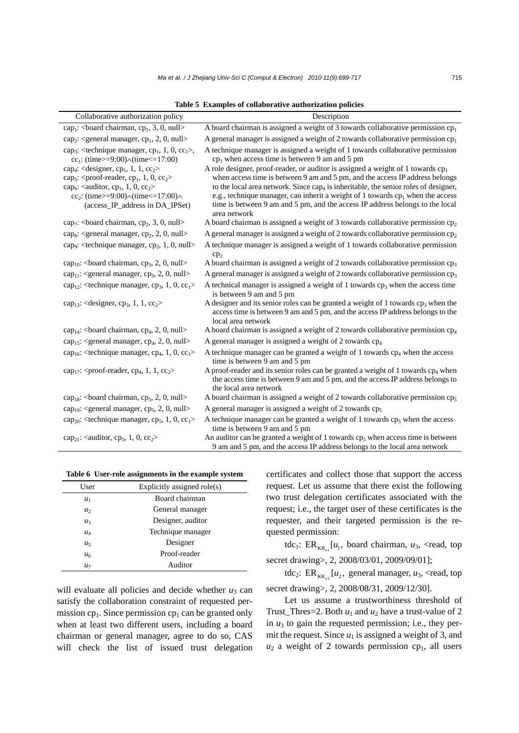| Collaborative authorization policy                                                           | Description                                                                                                                                                                                     |
|----------------------------------------------------------------------------------------------|-------------------------------------------------------------------------------------------------------------------------------------------------------------------------------------------------|
| cap <sub>1</sub> :<br>board chairman, cp <sub>1</sub> , 3, 0, null>                          | A board chairman is assigned a weight of 3 towards collaborative permission $cp1$                                                                                                               |
| cap <sub>2</sub> : <general cp<sub="" manager,="">1, 2, 0, null&gt;</general>                | A general manager is assigned a weight of 2 towards collaborative permission $cp1$                                                                                                              |
| cap <sub>3</sub> : <technique cp<sub="" manager,="">1, 1, 0, cc<sub>1</sub>&gt;,</technique> | A technique manager is assigned a weight of 1 towards collaborative permission                                                                                                                  |
| cc <sub>1</sub> : (time>=9:00) $\land$ (time<=17:00)                                         | $cp1$ when access time is between 9 am and 5 pm                                                                                                                                                 |
| cap <sub>4</sub> : <designer, cp<sub="">1, 1, 1, cc<sub>2</sub>&gt;</designer,>              | A role designer, proof-reader, or auditor is assigned a weight of 1 towards $cp1$                                                                                                               |
| cap <sub>5</sub> : <proof-reader, <math="">cp_1, 1, 0, <math>cc_2</math>&gt;</proof-reader,> | when access time is between 9 am and 5 pm, and the access IP address belongs                                                                                                                    |
| cap <sub>6</sub> : <auditor, cp<sub="">1, 1, 0, cc<sub>2</sub>&gt;</auditor,>                | to the local area network. Since $cap_4$ is inheritable, the senior roles of designer,                                                                                                          |
| cc <sub>2</sub> : (time>=9:00) $\land$ (time<=17:00) $\land$                                 | e.g., technique manager, can inherit a weight of 1 towards $cp1$ when the access                                                                                                                |
| (access_IP_address in DA_IPSet)                                                              | time is between 9 am and 5 pm, and the access IP address belongs to the local<br>area network                                                                                                   |
| $cap_7$ :<br>board chairman, cp <sub>2</sub> , 3, 0, null>                                   | A board chairman is assigned a weight of 3 towards collaborative permission cp <sub>2</sub>                                                                                                     |
| cap <sub>8</sub> : <general cp<sub="" manager,="">2, 2, 0, null&gt;</general>                | A general manager is assigned a weight of 2 towards collaborative permission $cp2$                                                                                                              |
| cap <sub>9</sub> : <technique cp<sub="" manager,="">2, 1, 0, null&gt;</technique>            | A technique manager is assigned a weight of 1 towards collaborative permission                                                                                                                  |
|                                                                                              | cp <sub>2</sub><br>A board chairman is assigned a weight of 2 towards collaborative permission cp <sub>3</sub>                                                                                  |
| $cap_{10}$ :<br>board chairman, $cp_3$ , 2, 0, null>                                         |                                                                                                                                                                                                 |
| $cap_{11}$ : <general cp<sub="" manager,="">3, 2, 0, null&gt;</general>                      | A general manager is assigned a weight of 2 towards collaborative permission cp <sub>3</sub>                                                                                                    |
| cap <sub>12</sub> : <technique cp<sub="" manager,="">3, 1, 0, cc<sub>1</sub>&gt;</technique> | A technical manager is assigned a weight of 1 towards cp <sub>3</sub> when the access time<br>is between 9 am and 5 pm                                                                          |
| cap <sub>13</sub> : <designer, cp<sub="">3, 1, 1, cc<sub>2</sub>&gt;</designer,>             | A designer and its senior roles can be granted a weight of 1 towards $cp3$ when the                                                                                                             |
|                                                                                              | access time is between 9 am and 5 pm, and the access IP address belongs to the<br>local area network                                                                                            |
| cap <sub>14</sub> :<br>board chairman, cp <sub>4</sub> , 2, 0, null>                         | A board chairman is assigned a weight of 2 towards collaborative permission cp <sub>4</sub>                                                                                                     |
| cap <sub>15</sub> : <general cp<sub="" manager,="">4, 2, 0, null&gt;</general>               | A general manager is assigned a weight of 2 towards cp <sub>4</sub>                                                                                                                             |
| cap <sub>16</sub> : <technique cp<sub="" manager,="">4, 1, 0, cc<sub>1</sub>&gt;</technique> | A technique manager can be granted a weight of 1 towards $cp4$ when the access<br>time is between 9 am and 5 pm                                                                                 |
| cap <sub>17</sub> : <proof-reader, cp<sub="">4, 1, 1, cc<sub>2</sub>&gt;</proof-reader,>     | A proof-reader and its senior roles can be granted a weight of 1 towards $cp4$ when<br>the access time is between 9 am and 5 pm, and the access IP address belongs to<br>the local area network |
| cap <sub>18</sub> :<br>board chairman, cp <sub>5</sub> , 2, 0, null>                         | A board chairman is assigned a weight of 2 towards collaborative permission cp <sub>5</sub>                                                                                                     |
| cap <sub>19</sub> : <general cp<sub="" manager,="">5, 2, 0, null&gt;</general>               | A general manager is assigned a weight of 2 towards cp <sub>5</sub>                                                                                                                             |
| cap <sub>20</sub> : <technique cp<sub="" manager,="">5, 1, 0, cc<sub>1</sub>&gt;</technique> | A technique manager can be granted a weight of 1 towards $cp5$ when the access<br>time is between 9 am and 5 pm                                                                                 |
| cap <sub>21</sub> : <auditor, cp<sub="">5, 1, 0, cc<sub>2</sub>&gt;</auditor,>               | An auditor can be granted a weight of 1 towards $cp5$ when access time is between<br>9 am and 5 pm, and the access IP address belongs to the local area network                                 |

**Table 5 Examples of collaborative authorization policies** 

| Table 6 User-role assignments in the example system |  |
|-----------------------------------------------------|--|

| User           | Explicitly assigned $role(s)$ |  |
|----------------|-------------------------------|--|
| $u_1$          | Board chairman                |  |
| u <sub>2</sub> | General manager               |  |
| $u_3$          | Designer, auditor             |  |
| $u_4$          | Technique manager             |  |
| u <sub>5</sub> | Designer                      |  |
| u <sub>6</sub> | Proof-reader                  |  |
| $u_7$          | Auditor                       |  |

will evaluate all policies and decide whether  $u_3$  can satisfy the collaboration constraint of requested permission  $cp_1$ . Since permission  $cp_1$  can be granted only when at least two different users, including a board chairman or general manager, agree to do so, CAS will check the list of issued trust delegation certificates and collect those that support the access request. Let us assume that there exist the following two trust delegation certificates associated with the request; i.e., the target user of these certificates is the requester, and their targeted permission is the requested permission:

tdc<sub>1</sub>: ER<sub>KR</sub>  $[u_1,$  board chairman,  $u_3$ , <read, top secret drawing>, 2, 2008/03/01, 2009/09/01];

tdc<sub>2</sub>: ER<sub>KR<sub>xR</sub></sub> $[u_2,$  general manager,  $u_3$ , <read, top secret drawing>, 2, 2008/08/31, 2009/12/30].

Let us assume a trustworthiness threshold of Trust\_Thres=2. Both  $u_1$  and  $u_2$  have a trust-value of 2 in *u*3 to gain the requested permission; i.e., they permit the request. Since  $u_1$  is assigned a weight of 3, and  $u_2$  a weight of 2 towards permission cp<sub>1</sub>, all users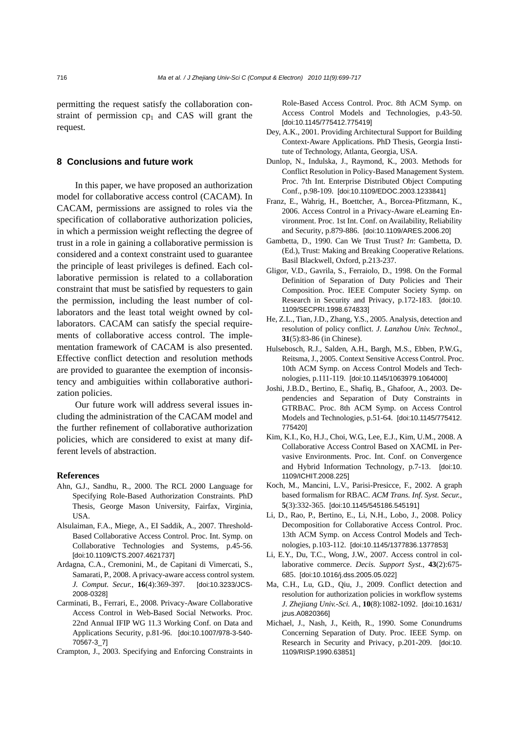permitting the request satisfy the collaboration constraint of permission  $cp<sub>1</sub>$  and CAS will grant the request*.* 

## **8 Conclusions and future work**

In this paper, we have proposed an authorization model for collaborative access control (CACAM). In CACAM, permissions are assigned to roles via the specification of collaborative authorization policies, in which a permission weight reflecting the degree of trust in a role in gaining a collaborative permission is considered and a context constraint used to guarantee the principle of least privileges is defined. Each collaborative permission is related to a collaboration constraint that must be satisfied by requesters to gain the permission, including the least number of collaborators and the least total weight owned by collaborators. CACAM can satisfy the special requirements of collaborative access control. The implementation framework of CACAM is also presented. Effective conflict detection and resolution methods are provided to guarantee the exemption of inconsistency and ambiguities within collaborative authorization policies.

Our future work will address several issues including the administration of the CACAM model and the further refinement of collaborative authorization policies, which are considered to exist at many different levels of abstraction.

#### **References**

- Ahn, G.J., Sandhu, R., 2000. The RCL 2000 Language for Specifying Role-Based Authorization Constraints. PhD Thesis, George Mason University, Fairfax, Virginia, **I**ISA.
- Alsulaiman, F.A., Miege, A., EI Saddik, A., 2007. Threshold-Based Collaborative Access Control. Proc. Int. Symp. on Collaborative Technologies and Systems, p.45-56. [doi:10.1109/CTS.2007.4621737]
- Ardagna, C.A., Cremonini, M., de Capitani di Vimercati, S., Samarati, P., 2008. A privacy-aware access control system. *J. Comput. Secur.*, **16**(4):369-397. [doi:10.3233/JCS-2008-0328]
- Carminati, B., Ferrari, E., 2008. Privacy-Aware Collaborative Access Control in Web-Based Social Networks. Proc. 22nd Annual IFIP WG 11.3 Working Conf. on Data and Applications Security, p.81-96. [doi:10.1007/978-3-540- 70567-3\_7]
- Crampton, J., 2003. Specifying and Enforcing Constraints in

Role-Based Access Control. Proc. 8th ACM Symp. on Access Control Models and Technologies, p.43-50. [doi:10.1145/775412.775419]

- Dey, A.K., 2001. Providing Architectural Support for Building Context-Aware Applications. PhD Thesis, Georgia Institute of Technology, Atlanta, Georgia, USA.
- Dunlop, N., Indulska, J., Raymond, K., 2003. Methods for Conflict Resolution in Policy-Based Management System. Proc. 7th Int. Enterprise Distributed Object Computing Conf., p.98-109. [doi:10.1109/EDOC.2003.1233841]
- Franz, E., Wahrig, H., Boettcher, A., Borcea-Pfitzmann, K., 2006. Access Control in a Privacy-Aware eLearning Environment. Proc. 1st Int. Conf. on Availability, Reliability and Security, p.879-886. [doi:10.1109/ARES.2006.20]
- Gambetta, D., 1990. Can We Trust Trust? *In*: Gambetta, D. (Ed.), Trust: Making and Breaking Cooperative Relations. Basil Blackwell, Oxford, p.213-237.
- Gligor, V.D., Gavrila, S., Ferraiolo, D., 1998. On the Formal Definition of Separation of Duty Policies and Their Composition. Proc. IEEE Computer Society Symp. on Research in Security and Privacy, p.172-183. [doi:10. 1109/SECPRI.1998.674833]
- He, Z.L., Tian, J.D., Zhang, Y.S., 2005. Analysis, detection and resolution of policy conflict. *J. Lanzhou Univ. Technol.*, **31**(5):83-86 (in Chinese).
- Hulsebosch, R.J., Salden, A.H., Bargh, M.S., Ebben, P.W.G., Reitsma, J., 2005. Context Sensitive Access Control. Proc. 10th ACM Symp. on Access Control Models and Technologies, p.111-119. [doi:10.1145/1063979.1064000]
- Joshi, J.B.D., Bertino, E., Shafiq, B., Ghafoor, A., 2003. Dependencies and Separation of Duty Constraints in GTRBAC. Proc. 8th ACM Symp. on Access Control Models and Technologies, p.51-64. [doi:10.1145/775412. 775420]
- Kim, K.I., Ko, H.J., Choi, W.G., Lee, E.J., Kim, U.M., 2008. A Collaborative Access Control Based on XACML in Pervasive Environments. Proc. Int. Conf. on Convergence and Hybrid Information Technology, p.7-13. [doi:10. 1109/ICHIT.2008.225]
- Koch, M., Mancini, L.V., Parisi-Presicce, F., 2002. A graph based formalism for RBAC. *ACM Trans. Inf. Syst. Secur.*, **5**(3):332-365. [doi:10.1145/545186.545191]
- Li, D., Rao, P., Bertino, E., Li, N.H., Lobo, J., 2008. Policy Decomposition for Collaborative Access Control. Proc. 13th ACM Symp. on Access Control Models and Technologies, p.103-112. [doi:10.1145/1377836.1377853]
- Li, E.Y., Du, T.C., Wong, J.W., 2007. Access control in collaborative commerce. *Decis. Support Syst.*, **43**(2):675- 685. [doi:10.1016/j.dss.2005.05.022]
- Ma, C.H., Lu, G.D., Qiu, J., 2009. Conflict detection and resolution for authorization policies in workflow systems *J. Zhejiang Univ.-Sci. A.*, **10**(8):1082-1092. [doi:10.1631/ jzus.A0820366]
- Michael, J., Nash, J., Keith, R., 1990. Some Conundrums Concerning Separation of Duty. Proc. IEEE Symp. on Research in Security and Privacy, p.201-209. [doi:10. 1109/RISP.1990.63851]